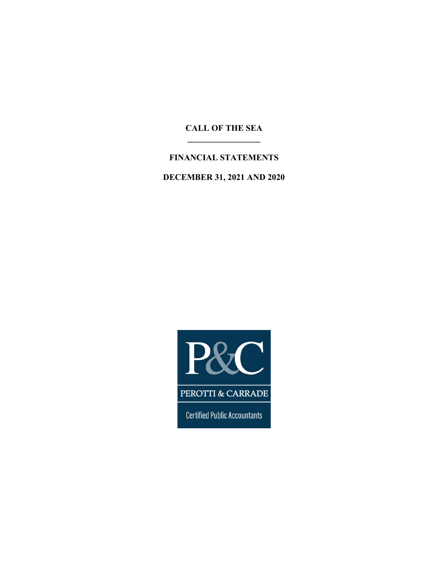**CALL OF THE SEA \_\_\_\_\_\_\_\_\_\_\_\_\_\_\_\_\_** 

## **FINANCIAL STATEMENTS**

**DECEMBER 31, 2021 AND 2020** 

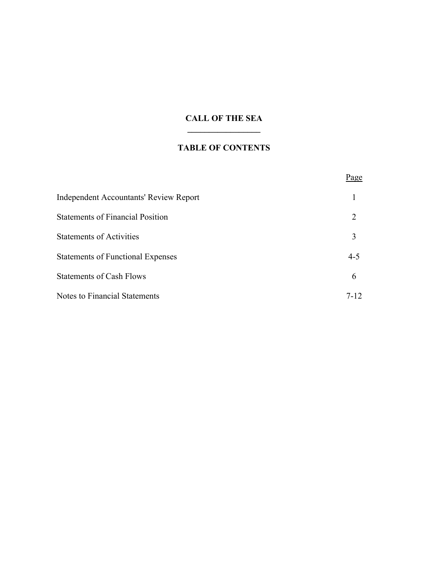## **CALL OF THE SEA \_\_\_\_\_\_\_\_\_\_\_\_\_\_\_\_\_**

## **TABLE OF CONTENTS**

|                                               | Page     |
|-----------------------------------------------|----------|
| <b>Independent Accountants' Review Report</b> |          |
| <b>Statements of Financial Position</b>       | 2        |
| <b>Statements of Activities</b>               | 3        |
| <b>Statements of Functional Expenses</b>      | $4 - 5$  |
| <b>Statements of Cash Flows</b>               | 6        |
| <b>Notes to Financial Statements</b>          | $7 - 12$ |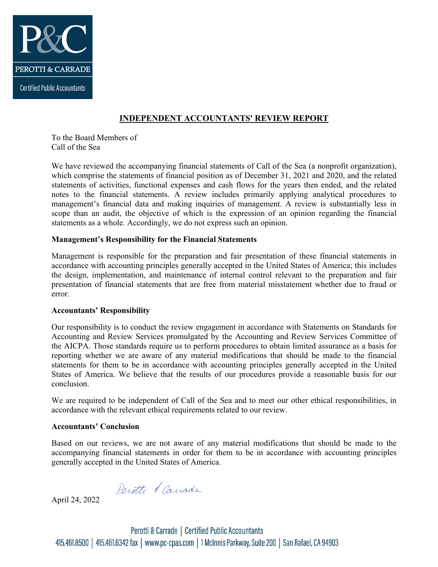

## **INDEPENDENT ACCOUNTANTS' REVIEW REPORT**

To the Board Members of Call of the Sea

We have reviewed the accompanying financial statements of Call of the Sea (a nonprofit organization), which comprise the statements of financial position as of December 31, 2021 and 2020, and the related statements of activities, functional expenses and cash flows for the years then ended, and the related notes to the financial statements. A review includes primarily applying analytical procedures to management's financial data and making inquiries of management. A review is substantially less in scope than an audit, the objective of which is the expression of an opinion regarding the financial statements as a whole. Accordingly, we do not express such an opinion.

#### **Management's Responsibility for the Financial Statements**

Management is responsible for the preparation and fair presentation of these financial statements in accordance with accounting principles generally accepted in the United States of America; this includes the design, implementation, and maintenance of internal control relevant to the preparation and fair presentation of financial statements that are free from material misstatement whether due to fraud or error.

#### **Accountants' Responsibility**

Our responsibility is to conduct the review engagement in accordance with Statements on Standards for Accounting and Review Services promulgated by the Accounting and Review Services Committee of the AICPA. Those standards require us to perform procedures to obtain limited assurance as a basis for reporting whether we are aware of any material modifications that should be made to the financial statements for them to be in accordance with accounting principles generally accepted in the United States of America. We believe that the results of our procedures provide a reasonable basis for our conclusion.

We are required to be independent of Call of the Sea and to meet our other ethical responsibilities, in accordance with the relevant ethical requirements related to our review.

#### **Accountants' Conclusion**

Based on our reviews, we are not aware of any material modifications that should be made to the accompanying financial statements in order for them to be in accordance with accounting principles generally accepted in the United States of America.

Perotti d'Carrade

April 24, 2022

Perotti & Carrade | Certified Public Accountants 415.461.8500 | 415.461.6342 fax | www.pc-cpas.com | 1 McInnis Parkway, Suite 200 | San Rafael, CA 94903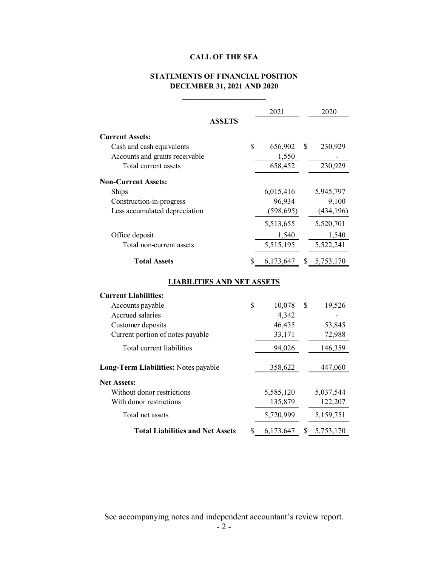#### **STATEMENTS OF FINANCIAL POSITION DECEMBER 31, 2021 AND 2020**

**\_\_\_\_\_\_\_\_\_\_\_\_\_\_\_\_\_\_\_\_\_\_**

| <b>ASSETS</b>                        |             | 2021       | 2020          |
|--------------------------------------|-------------|------------|---------------|
| <b>Current Assets:</b>               |             |            |               |
| Cash and cash equivalents            | $\mathbf S$ | 656,902    | \$<br>230,929 |
| Accounts and grants receivable       |             | 1,550      |               |
| Total current assets                 |             | 658,452    | 230,929       |
| <b>Non-Current Assets:</b>           |             |            |               |
| Ships                                |             | 6,015,416  | 5,945,797     |
| Construction-in-progress             |             | 96,934     | 9,100         |
| Less accumulated depreciation        |             | (598, 695) | (434, 196)    |
|                                      |             | 5,513,655  | 5,520,701     |
| Office deposit                       |             | 1,540      | 1,540         |
| Total non-current assets             |             | 5,515,195  | 5,522,241     |
| <b>Total Assets</b>                  | \$          | 6,173,647  | \$5,753,170   |
| <b>LIABILITIES AND NET ASSETS</b>    |             |            |               |
| <b>Current Liabilities:</b>          |             |            |               |
| Accounts payable                     | \$          | 10,078     | \$<br>19,526  |
| Accrued salaries                     |             | 4,342      |               |
| Customer deposits                    |             | 46,435     | 53,845        |
| Current portion of notes payable     |             | 33,171     | 72,988        |
| Total current liabilities            |             | 94,026     | 146,359       |
| Long-Term Liabilities: Notes payable |             | 358,622    | 447,060       |
| <b>Net Assets:</b>                   |             |            |               |
| Without donor restrictions           |             | 5,585,120  | 5,037,544     |
| With donor restrictions              |             | 135,879    | 122,207       |
| Total net assets                     |             | 5,720,999  | 5,159,751     |
|                                      |             |            |               |

See accompanying notes and independent accountant's review report.

**Total Liabilities and Net Assets** \$ 6,173,647 \$ 5,753,170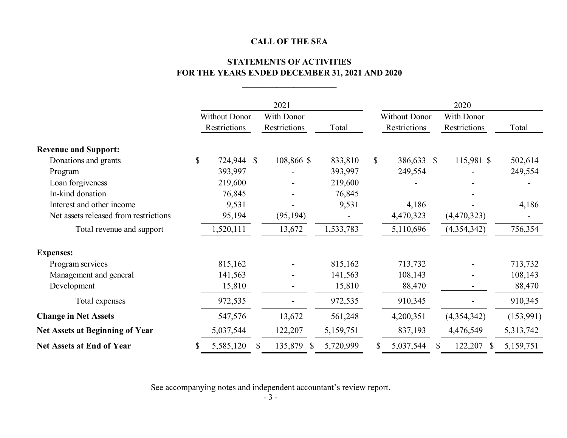## **FOR THE YEARS ENDED DECEMBER 31, 2021 AND 2020 STATEMENTS OF ACTIVITIES**

|                                        |              |                      | 2021          | 2020      |              |                      |   |              |           |  |
|----------------------------------------|--------------|----------------------|---------------|-----------|--------------|----------------------|---|--------------|-----------|--|
|                                        |              | <b>Without Donor</b> | With Donor    |           |              | <b>Without Donor</b> |   | With Donor   |           |  |
|                                        |              | Restrictions         | Restrictions  | Total     |              | Restrictions         |   | Restrictions | Total     |  |
| <b>Revenue and Support:</b>            |              |                      |               |           |              |                      |   |              |           |  |
| Donations and grants                   | $\mathbb{S}$ | 724,944 \$           | 108,866 \$    | 833,810   | $\mathbb{S}$ | 386,633 \$           |   | 115,981 \$   | 502,614   |  |
| Program                                |              | 393,997              |               | 393,997   |              | 249,554              |   |              | 249,554   |  |
| Loan forgiveness                       |              | 219,600              |               | 219,600   |              |                      |   |              |           |  |
| In-kind donation                       |              | 76,845               |               | 76,845    |              |                      |   |              |           |  |
| Interest and other income              |              | 9,531                |               | 9,531     |              | 4,186                |   |              | 4,186     |  |
| Net assets released from restrictions  |              | 95,194               | (95, 194)     |           |              | 4,470,323            |   | (4,470,323)  |           |  |
| Total revenue and support              |              | 1,520,111            | 13,672        | 1,533,783 |              | 5,110,696            |   | (4,354,342)  | 756,354   |  |
| <b>Expenses:</b>                       |              |                      |               |           |              |                      |   |              |           |  |
| Program services                       |              | 815,162              |               | 815,162   |              | 713,732              |   |              | 713,732   |  |
| Management and general                 |              | 141,563              |               | 141,563   |              | 108,143              |   |              | 108,143   |  |
| Development                            |              | 15,810               |               | 15,810    |              | 88,470               |   |              | 88,470    |  |
| Total expenses                         |              | 972,535              |               | 972,535   |              | 910,345              |   |              | 910,345   |  |
| <b>Change in Net Assets</b>            |              | 547,576              | 13,672        | 561,248   |              | 4,200,351            |   | (4,354,342)  | (153,991) |  |
| <b>Net Assets at Beginning of Year</b> |              | 5,037,544            | 122,207       | 5,159,751 |              | 837,193              |   | 4,476,549    | 5,313,742 |  |
| <b>Net Assets at End of Year</b>       |              | 5,585,120            | 135,879<br>S. | 5,720,999 | \$           | 5,037,544            | S | 122,207<br>S | 5,159,751 |  |

See accompanying notes and independent accountant's review report.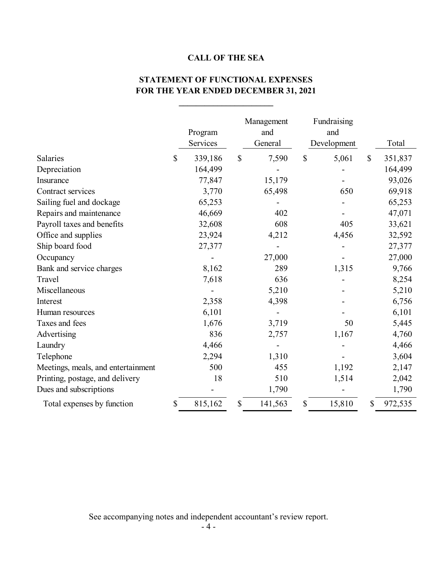# **STATEMENT OF FUNCTIONAL EXPENSES FOR THE YEAR ENDED DECEMBER 31, 2021**

**\_\_\_\_\_\_\_\_\_\_\_\_\_\_\_\_\_\_\_\_\_\_**

|                                    | Program<br>Services |              | Management<br>and<br>General |               | Fundraising<br>and<br>Development |              | Total   |
|------------------------------------|---------------------|--------------|------------------------------|---------------|-----------------------------------|--------------|---------|
| Salaries                           | \$<br>339,186       | $\mathbb{S}$ | 7,590                        | $\mathcal{S}$ | 5,061                             | $\mathbb{S}$ | 351,837 |
| Depreciation                       | 164,499             |              |                              |               |                                   |              | 164,499 |
| Insurance                          | 77,847              |              | 15,179                       |               |                                   |              | 93,026  |
| Contract services                  | 3,770               |              | 65,498                       |               | 650                               |              | 69,918  |
| Sailing fuel and dockage           | 65,253              |              |                              |               |                                   |              | 65,253  |
| Repairs and maintenance            | 46,669              |              | 402                          |               |                                   |              | 47,071  |
| Payroll taxes and benefits         | 32,608              |              | 608                          |               | 405                               |              | 33,621  |
| Office and supplies                | 23,924              |              | 4,212                        |               | 4,456                             |              | 32,592  |
| Ship board food                    | 27,377              |              |                              |               |                                   |              | 27,377  |
| Occupancy                          |                     |              | 27,000                       |               |                                   |              | 27,000  |
| Bank and service charges           | 8,162               |              | 289                          |               | 1,315                             |              | 9,766   |
| Travel                             | 7,618               |              | 636                          |               |                                   |              | 8,254   |
| Miscellaneous                      |                     |              | 5,210                        |               |                                   |              | 5,210   |
| Interest                           | 2,358               |              | 4,398                        |               |                                   |              | 6,756   |
| Human resources                    | 6,101               |              |                              |               |                                   |              | 6,101   |
| Taxes and fees                     | 1,676               |              | 3,719                        |               | 50                                |              | 5,445   |
| Advertising                        | 836                 |              | 2,757                        |               | 1,167                             |              | 4,760   |
| Laundry                            | 4,466               |              |                              |               |                                   |              | 4,466   |
| Telephone                          | 2,294               |              | 1,310                        |               |                                   |              | 3,604   |
| Meetings, meals, and entertainment | 500                 |              | 455                          |               | 1,192                             |              | 2,147   |
| Printing, postage, and delivery    | 18                  |              | 510                          |               | 1,514                             |              | 2,042   |
| Dues and subscriptions             |                     |              | 1,790                        |               |                                   |              | 1,790   |
| Total expenses by function         | \$<br>815,162       | \$           | 141,563                      | \$            | 15,810                            | \$           | 972,535 |

See accompanying notes and independent accountant's review report.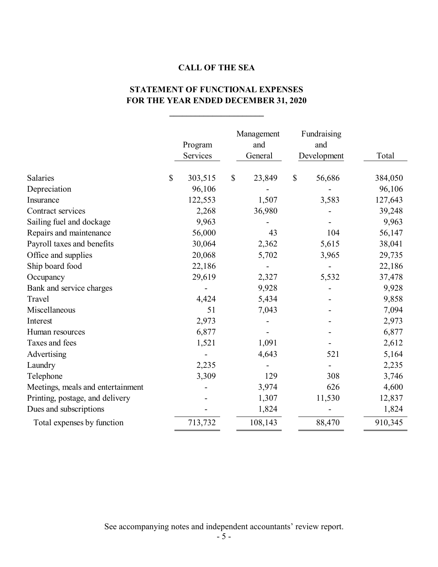# **STATEMENT OF FUNCTIONAL EXPENSES FOR THE YEAR ENDED DECEMBER 31, 2020**

**\_\_\_\_\_\_\_\_\_\_\_\_\_\_\_\_\_\_\_\_\_\_**

|                                   | Program<br>Services | Management<br>and<br>General |              | Fundraising<br>and<br>Development | Total   |
|-----------------------------------|---------------------|------------------------------|--------------|-----------------------------------|---------|
| Salaries                          | \$<br>303,515       | \$<br>23,849                 | $\mathbb{S}$ | 56,686                            | 384,050 |
| Depreciation                      | 96,106              |                              |              |                                   | 96,106  |
| Insurance                         | 122,553             | 1,507                        |              | 3,583                             | 127,643 |
| Contract services                 | 2,268               | 36,980                       |              |                                   | 39,248  |
| Sailing fuel and dockage          | 9,963               |                              |              |                                   | 9,963   |
| Repairs and maintenance           | 56,000              | 43                           |              | 104                               | 56,147  |
| Payroll taxes and benefits        | 30,064              | 2,362                        |              | 5,615                             | 38,041  |
| Office and supplies               | 20,068              | 5,702                        |              | 3,965                             | 29,735  |
| Ship board food                   | 22,186              |                              |              |                                   | 22,186  |
| Occupancy                         | 29,619              | 2,327                        |              | 5,532                             | 37,478  |
| Bank and service charges          |                     | 9,928                        |              |                                   | 9,928   |
| Travel                            | 4,424               | 5,434                        |              |                                   | 9,858   |
| Miscellaneous                     | 51                  | 7,043                        |              |                                   | 7,094   |
| Interest                          | 2,973               |                              |              |                                   | 2,973   |
| Human resources                   | 6,877               |                              |              |                                   | 6,877   |
| Taxes and fees                    | 1,521               | 1,091                        |              |                                   | 2,612   |
| Advertising                       |                     | 4,643                        |              | 521                               | 5,164   |
| Laundry                           | 2,235               |                              |              |                                   | 2,235   |
| Telephone                         | 3,309               | 129                          |              | 308                               | 3,746   |
| Meetings, meals and entertainment |                     | 3,974                        |              | 626                               | 4,600   |
| Printing, postage, and delivery   |                     | 1,307                        |              | 11,530                            | 12,837  |
| Dues and subscriptions            |                     | 1,824                        |              |                                   | 1,824   |
| Total expenses by function        | 713,732             | 108,143                      |              | 88,470                            | 910,345 |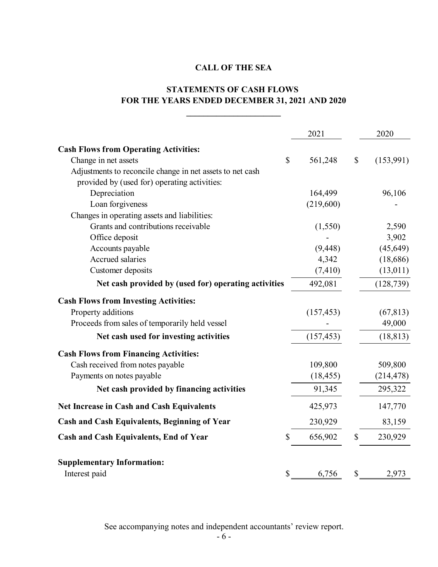# **STATEMENTS OF CASH FLOWS FOR THE YEARS ENDED DECEMBER 31, 2021 AND 2020**

**\_\_\_\_\_\_\_\_\_\_\_\_\_\_\_\_\_\_\_\_\_\_**

|                                                           | 2021          |              | 2020       |
|-----------------------------------------------------------|---------------|--------------|------------|
| <b>Cash Flows from Operating Activities:</b>              |               |              |            |
| Change in net assets                                      | \$<br>561,248 | $\mathbb{S}$ | (153,991)  |
| Adjustments to reconcile change in net assets to net cash |               |              |            |
| provided by (used for) operating activities:              |               |              |            |
| Depreciation                                              | 164,499       |              | 96,106     |
| Loan forgiveness                                          | (219,600)     |              |            |
| Changes in operating assets and liabilities:              |               |              |            |
| Grants and contributions receivable                       | (1,550)       |              | 2,590      |
| Office deposit                                            |               |              | 3,902      |
| Accounts payable                                          | (9, 448)      |              | (45, 649)  |
| Accrued salaries                                          | 4,342         |              | (18,686)   |
| Customer deposits                                         | (7, 410)      |              | (13,011)   |
| Net cash provided by (used for) operating activities      | 492,081       |              | (128, 739) |
| <b>Cash Flows from Investing Activities:</b>              |               |              |            |
| Property additions                                        | (157, 453)    |              | (67, 813)  |
| Proceeds from sales of temporarily held vessel            |               |              | 49,000     |
| Net cash used for investing activities                    | (157, 453)    |              | (18, 813)  |
| <b>Cash Flows from Financing Activities:</b>              |               |              |            |
| Cash received from notes payable                          | 109,800       |              | 509,800    |
| Payments on notes payable                                 | (18, 455)     |              | (214, 478) |
| Net cash provided by financing activities                 | 91,345        |              | 295,322    |
| <b>Net Increase in Cash and Cash Equivalents</b>          | 425,973       |              | 147,770    |
| <b>Cash and Cash Equivalents, Beginning of Year</b>       | 230,929       |              | 83,159     |
| <b>Cash and Cash Equivalents, End of Year</b>             | \$<br>656,902 | \$           | 230,929    |
| <b>Supplementary Information:</b>                         |               |              |            |
| Interest paid                                             | \$<br>6,756   | \$           | 2,973      |

See accompanying notes and independent accountants' review report.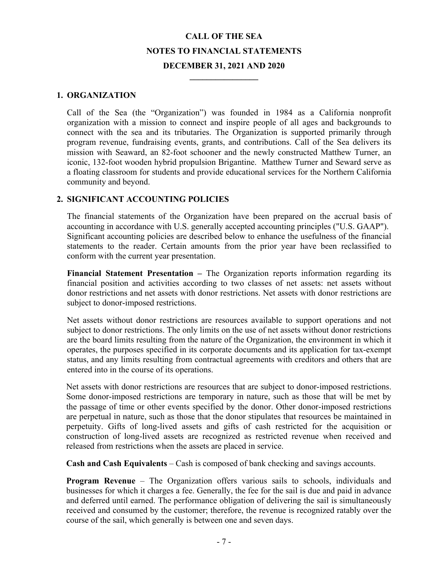**\_\_\_\_\_\_\_\_\_\_\_\_\_\_\_\_** 

### **1. ORGANIZATION**

Call of the Sea (the "Organization") was founded in 1984 as a California nonprofit organization with a mission to connect and inspire people of all ages and backgrounds to connect with the sea and its tributaries. The Organization is supported primarily through program revenue, fundraising events, grants, and contributions. Call of the Sea delivers its mission with Seaward, an 82-foot schooner and the newly constructed Matthew Turner, an iconic, 132-foot wooden hybrid propulsion Brigantine. Matthew Turner and Seward serve as a floating classroom for students and provide educational services for the Northern California community and beyond.

## **2. SIGNIFICANT ACCOUNTING POLICIES**

The financial statements of the Organization have been prepared on the accrual basis of accounting in accordance with U.S. generally accepted accounting principles ("U.S. GAAP"). Significant accounting policies are described below to enhance the usefulness of the financial statements to the reader. Certain amounts from the prior year have been reclassified to conform with the current year presentation.

**Financial Statement Presentation –** The Organization reports information regarding its financial position and activities according to two classes of net assets: net assets without donor restrictions and net assets with donor restrictions. Net assets with donor restrictions are subject to donor-imposed restrictions.

Net assets without donor restrictions are resources available to support operations and not subject to donor restrictions. The only limits on the use of net assets without donor restrictions are the board limits resulting from the nature of the Organization, the environment in which it operates, the purposes specified in its corporate documents and its application for tax-exempt status, and any limits resulting from contractual agreements with creditors and others that are entered into in the course of its operations.

Net assets with donor restrictions are resources that are subject to donor-imposed restrictions. Some donor-imposed restrictions are temporary in nature, such as those that will be met by the passage of time or other events specified by the donor. Other donor-imposed restrictions are perpetual in nature, such as those that the donor stipulates that resources be maintained in perpetuity. Gifts of long-lived assets and gifts of cash restricted for the acquisition or construction of long-lived assets are recognized as restricted revenue when received and released from restrictions when the assets are placed in service.

 **Cash and Cash Equivalents** – Cash is composed of bank checking and savings accounts.

**Program Revenue** – The Organization offers various sails to schools, individuals and businesses for which it charges a fee. Generally, the fee for the sail is due and paid in advance and deferred until earned. The performance obligation of delivering the sail is simultaneously received and consumed by the customer; therefore, the revenue is recognized ratably over the course of the sail, which generally is between one and seven days.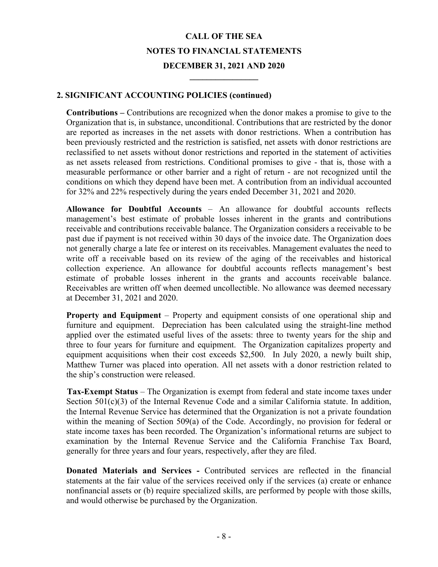**\_\_\_\_\_\_\_\_\_\_\_\_\_\_\_\_** 

#### **2. SIGNIFICANT ACCOUNTING POLICIES (continued)**

**Contributions –** Contributions are recognized when the donor makes a promise to give to the Organization that is, in substance, unconditional. Contributions that are restricted by the donor are reported as increases in the net assets with donor restrictions. When a contribution has been previously restricted and the restriction is satisfied, net assets with donor restrictions are reclassified to net assets without donor restrictions and reported in the statement of activities as net assets released from restrictions. Conditional promises to give - that is, those with a measurable performance or other barrier and a right of return - are not recognized until the conditions on which they depend have been met. A contribution from an individual accounted for 32% and 22% respectively during the years ended December 31, 2021 and 2020.

**Allowance for Doubtful Accounts** – An allowance for doubtful accounts reflects management's best estimate of probable losses inherent in the grants and contributions receivable and contributions receivable balance. The Organization considers a receivable to be past due if payment is not received within 30 days of the invoice date. The Organization does not generally charge a late fee or interest on its receivables. Management evaluates the need to write off a receivable based on its review of the aging of the receivables and historical collection experience. An allowance for doubtful accounts reflects management's best estimate of probable losses inherent in the grants and accounts receivable balance. Receivables are written off when deemed uncollectible. No allowance was deemed necessary at December 31, 2021 and 2020.

**Property and Equipment** – Property and equipment consists of one operational ship and furniture and equipment. Depreciation has been calculated using the straight-line method applied over the estimated useful lives of the assets: three to twenty years for the ship and three to four years for furniture and equipment. The Organization capitalizes property and equipment acquisitions when their cost exceeds \$2,500. In July 2020, a newly built ship, Matthew Turner was placed into operation. All net assets with a donor restriction related to the ship's construction were released.

 **Tax-Exempt Status** – The Organization is exempt from federal and state income taxes under Section 501(c)(3) of the Internal Revenue Code and a similar California statute. In addition, the Internal Revenue Service has determined that the Organization is not a private foundation within the meaning of Section 509(a) of the Code. Accordingly, no provision for federal or state income taxes has been recorded. The Organization's informational returns are subject to examination by the Internal Revenue Service and the California Franchise Tax Board, generally for three years and four years, respectively, after they are filed.

**Donated Materials and Services -** Contributed services are reflected in the financial statements at the fair value of the services received only if the services (a) create or enhance nonfinancial assets or (b) require specialized skills, are performed by people with those skills, and would otherwise be purchased by the Organization.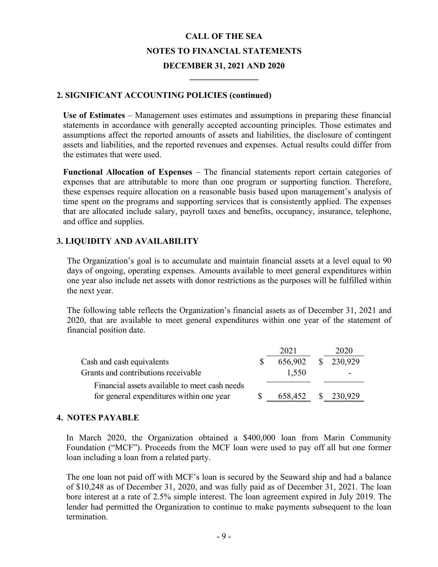**\_\_\_\_\_\_\_\_\_\_\_\_\_\_\_\_** 

#### **2. SIGNIFICANT ACCOUNTING POLICIES (continued)**

**Use of Estimates** – Management uses estimates and assumptions in preparing these financial statements in accordance with generally accepted accounting principles. Those estimates and assumptions affect the reported amounts of assets and liabilities, the disclosure of contingent assets and liabilities, and the reported revenues and expenses. Actual results could differ from the estimates that were used.

**Functional Allocation of Expenses** – The financial statements report certain categories of expenses that are attributable to more than one program or supporting function. Therefore, these expenses require allocation on a reasonable basis based upon management's analysis of time spent on the programs and supporting services that is consistently applied. The expenses that are allocated include salary, payroll taxes and benefits, occupancy, insurance, telephone, and office and supplies.

## **3. LIQUIDITY AND AVAILABILITY**

The Organization's goal is to accumulate and maintain financial assets at a level equal to 90 days of ongoing, operating expenses. Amounts available to meet general expenditures within one year also include net assets with donor restrictions as the purposes will be fulfilled within the next year.

The following table reflects the Organization's financial assets as of December 31, 2021 and 2020, that are available to meet general expenditures within one year of the statement of financial position date.

|                                               | 2021    | 2020       |
|-----------------------------------------------|---------|------------|
| Cash and cash equivalents                     | 656,902 | \$ 230,929 |
| Grants and contributions receivable           | 1,550   |            |
| Financial assets available to meet cash needs |         |            |
| for general expenditures within one year      | 658,452 | \$230,929  |

#### **4. NOTES PAYABLE**

In March 2020, the Organization obtained a \$400,000 loan from Marin Community Foundation ("MCF"). Proceeds from the MCF loan were used to pay off all but one former loan including a loan from a related party.

The one loan not paid off with MCF's loan is secured by the Seaward ship and had a balance of \$10,248 as of December 31, 2020, and was fully paid as of December 31, 2021. The loan bore interest at a rate of 2.5% simple interest. The loan agreement expired in July 2019. The lender had permitted the Organization to continue to make payments subsequent to the loan termination.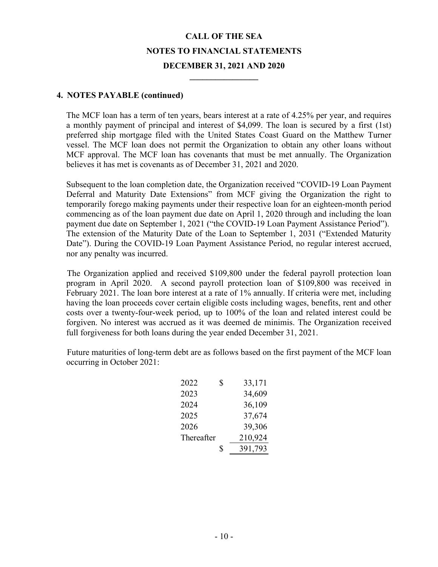**\_\_\_\_\_\_\_\_\_\_\_\_\_\_\_\_** 

### **4. NOTES PAYABLE (continued)**

The MCF loan has a term of ten years, bears interest at a rate of 4.25% per year, and requires a monthly payment of principal and interest of \$4,099. The loan is secured by a first (1st) preferred ship mortgage filed with the United States Coast Guard on the Matthew Turner vessel. The MCF loan does not permit the Organization to obtain any other loans without MCF approval. The MCF loan has covenants that must be met annually. The Organization believes it has met is covenants as of December 31, 2021 and 2020.

Subsequent to the loan completion date, the Organization received "COVID-19 Loan Payment Deferral and Maturity Date Extensions" from MCF giving the Organization the right to temporarily forego making payments under their respective loan for an eighteen-month period commencing as of the loan payment due date on April 1, 2020 through and including the loan payment due date on September 1, 2021 ("the COVID-19 Loan Payment Assistance Period"). The extension of the Maturity Date of the Loan to September 1, 2031 ("Extended Maturity Date"). During the COVID-19 Loan Payment Assistance Period, no regular interest accrued, nor any penalty was incurred.

 The Organization applied and received \$109,800 under the federal payroll protection loan program in April 2020. A second payroll protection loan of \$109,800 was received in February 2021. The loan bore interest at a rate of 1% annually. If criteria were met, including having the loan proceeds cover certain eligible costs including wages, benefits, rent and other costs over a twenty-four-week period, up to 100% of the loan and related interest could be forgiven. No interest was accrued as it was deemed de minimis. The Organization received full forgiveness for both loans during the year ended December 31, 2021.

 Future maturities of long-term debt are as follows based on the first payment of the MCF loan occurring in October 2021:

| 2022       | \$<br>33,171  |
|------------|---------------|
| 2023       | 34,609        |
| 2024       | 36,109        |
| 2025       | 37,674        |
| 2026       | 39,306        |
| Thereafter | 210,924       |
|            | \$<br>391,793 |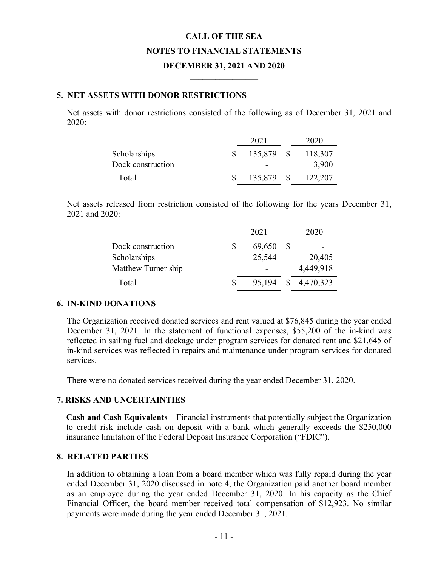**\_\_\_\_\_\_\_\_\_\_\_\_\_\_\_\_** 

#### **5. NET ASSETS WITH DONOR RESTRICTIONS**

 Net assets with donor restrictions consisted of the following as of December 31, 2021 and 2020:

|                   | 2021       |     | 2020    |
|-------------------|------------|-----|---------|
| Scholarships      | 135,879 \$ |     | 118,307 |
| Dock construction |            |     | 3,900   |
| Total             | 135,879    | - S | 122,207 |

Net assets released from restriction consisted of the following for the years December 31, 2021 and 2020:

|                     | 2021   |   | 2020            |
|---------------------|--------|---|-----------------|
| Dock construction   | 69,650 | S |                 |
| Scholarships        | 25,544 |   | 20,405          |
| Matthew Turner ship |        |   | 4,449,918       |
| Total               | 95,194 |   | $\$\,4,470,323$ |

## **6. IN-KIND DONATIONS**

The Organization received donated services and rent valued at \$76,845 during the year ended December 31, 2021. In the statement of functional expenses, \$55,200 of the in-kind was reflected in sailing fuel and dockage under program services for donated rent and \$21,645 of in-kind services was reflected in repairs and maintenance under program services for donated services.

There were no donated services received during the year ended December 31, 2020.

## **7. RISKS AND UNCERTAINTIES**

**Cash and Cash Equivalents –** Financial instruments that potentially subject the Organization to credit risk include cash on deposit with a bank which generally exceeds the \$250,000 insurance limitation of the Federal Deposit Insurance Corporation ("FDIC").

## **8. RELATED PARTIES**

In addition to obtaining a loan from a board member which was fully repaid during the year ended December 31, 2020 discussed in note 4, the Organization paid another board member as an employee during the year ended December 31, 2020. In his capacity as the Chief Financial Officer, the board member received total compensation of \$12,923. No similar payments were made during the year ended December 31, 2021.